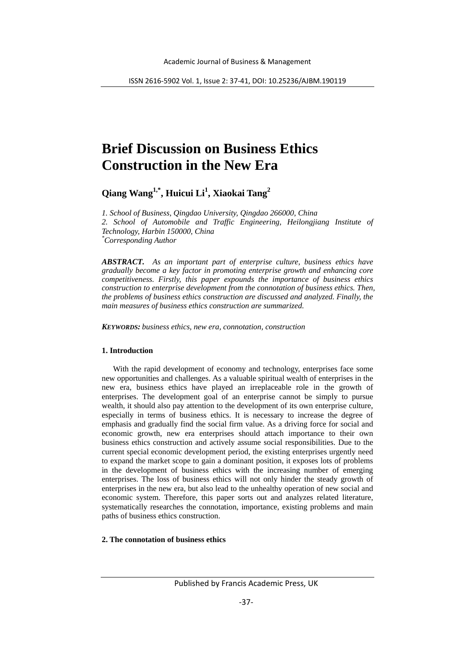# **Brief Discussion on Business Ethics Construction in the New Era**

**Qiang Wang1,\* , Huicui Li<sup>1</sup> , Xiaokai Tang2**

*1. School of Business, Qingdao University, Qingdao 266000, China 2. School of Automobile and Traffic Engineering, Heilongjiang Institute of Technology, Harbin 150000, China \* Corresponding Author*

*ABSTRACT. As an important part of enterprise culture, business ethics have gradually become a key factor in promoting enterprise growth and enhancing core competitiveness. Firstly, this paper expounds the importance of business ethics construction to enterprise development from the connotation of business ethics. Then, the problems of business ethics construction are discussed and analyzed. Finally, the main measures of business ethics construction are summarized.*

*KEYWORDS: business ethics, new era, connotation, construction*

### **1. Introduction**

With the rapid development of economy and technology, enterprises face some new opportunities and challenges. As a valuable spiritual wealth of enterprises in the new era, business ethics have played an irreplaceable role in the growth of enterprises. The development goal of an enterprise cannot be simply to pursue wealth, it should also pay attention to the development of its own enterprise culture, especially in terms of business ethics. It is necessary to increase the degree of emphasis and gradually find the social firm value. As a driving force for social and economic growth, new era enterprises should attach importance to their own business ethics construction and actively assume social responsibilities. Due to the current special economic development period, the existing enterprises urgently need to expand the market scope to gain a dominant position, it exposes lots of problems in the development of business ethics with the increasing number of emerging enterprises. The loss of business ethics will not only hinder the steady growth of enterprises in the new era, but also lead to the unhealthy operation of new social and economic system. Therefore, this paper sorts out and analyzes related literature, systematically researches the connotation, importance, existing problems and main paths of business ethics construction.

## **2. The connotation of business ethics**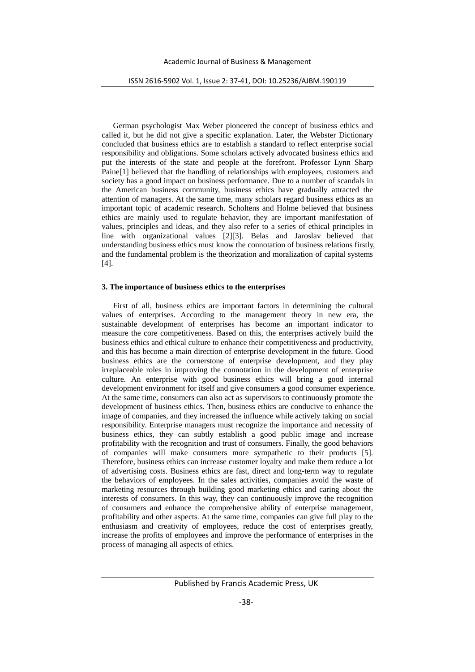German psychologist Max Weber pioneered the concept of business ethics and called it, but he did not give a specific explanation. Later, the Webster Dictionary concluded that business ethics are to establish a standard to reflect enterprise social responsibility and obligations. Some scholars actively advocated business ethics and put the interests of the state and people at the forefront. Professor Lynn Sharp Paine[1] believed that the handling of relationships with employees, customers and society has a good impact on business performance. Due to a number of scandals in the American business community, business ethics have gradually attracted the attention of managers. At the same time, many scholars regard business ethics as an important topic of academic research. Scholtens and Holme believed that business ethics are mainly used to regulate behavior, they are important manifestation of values, principles and ideas, and they also refer to a series of ethical principles in line with organizational values [2][3]. Belas and Jaroslav believed that understanding business ethics must know the connotation of business relations firstly, and the fundamental problem is the theorization and moralization of capital systems [4].

### **3. The importance of business ethics to the enterprises**

First of all, business ethics are important factors in determining the cultural values of enterprises. According to the management theory in new era, the sustainable development of enterprises has become an important indicator to measure the core competitiveness. Based on this, the enterprises actively build the business ethics and ethical culture to enhance their competitiveness and productivity, and this has become a main direction of enterprise development in the future. Good business ethics are the cornerstone of enterprise development, and they play irreplaceable roles in improving the connotation in the development of enterprise culture. An enterprise with good business ethics will bring a good internal development environment for itself and give consumers a good consumer experience. At the same time, consumers can also act as supervisors to continuously promote the development of business ethics. Then, business ethics are conducive to enhance the image of companies, and they increased the influence while actively taking on social responsibility. Enterprise managers must recognize the importance and necessity of business ethics, they can subtly establish a good public image and increase profitability with the recognition and trust of consumers. Finally, the good behaviors of companies will make consumers more sympathetic to their products [5]. Therefore, business ethics can increase customer loyalty and make them reduce a lot of advertising costs. Business ethics are fast, direct and long-term way to regulate the behaviors of employees. In the sales activities, companies avoid the waste of marketing resources through building good marketing ethics and caring about the interests of consumers. In this way, they can continuously improve the recognition of consumers and enhance the comprehensive ability of enterprise management, profitability and other aspects. At the same time, companies can give full play to the enthusiasm and creativity of employees, reduce the cost of enterprises greatly, increase the profits of employees and improve the performance of enterprises in the process of managing all aspects of ethics.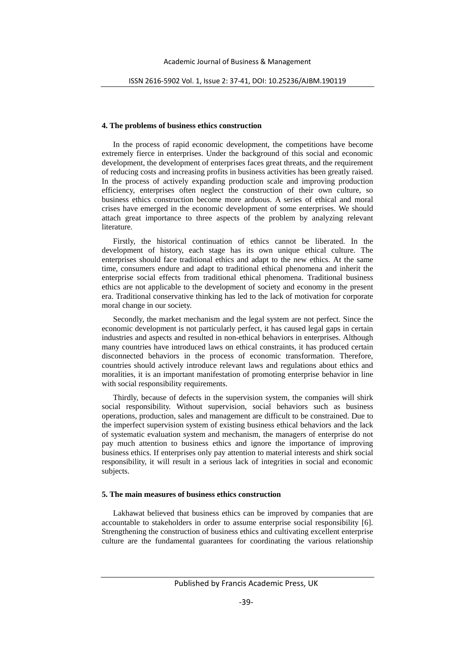### **4. The problems of business ethics construction**

In the process of rapid economic development, the competitions have become extremely fierce in enterprises. Under the background of this social and economic development, the development of enterprises faces great threats, and the requirement of reducing costs and increasing profits in business activities has been greatly raised. In the process of actively expanding production scale and improving production efficiency, enterprises often neglect the construction of their own culture, so business ethics construction become more arduous. A series of ethical and moral crises have emerged in the economic development of some enterprises. We should attach great importance to three aspects of the problem by analyzing relevant literature.

Firstly, the historical continuation of ethics cannot be liberated. In the development of history, each stage has its own unique ethical culture. The enterprises should face traditional ethics and adapt to the new ethics. At the same time, consumers endure and adapt to traditional ethical phenomena and inherit the enterprise social effects from traditional ethical phenomena. Traditional business ethics are not applicable to the development of society and economy in the present era. Traditional conservative thinking has led to the lack of motivation for corporate moral change in our society.

Secondly, the market mechanism and the legal system are not perfect. Since the economic development is not particularly perfect, it has caused legal gaps in certain industries and aspects and resulted in non-ethical behaviors in enterprises. Although many countries have introduced laws on ethical constraints, it has produced certain disconnected behaviors in the process of economic transformation. Therefore, countries should actively introduce relevant laws and regulations about ethics and moralities, it is an important manifestation of promoting enterprise behavior in line with social responsibility requirements.

Thirdly, because of defects in the supervision system, the companies will shirk social responsibility. Without supervision, social behaviors such as business operations, production, sales and management are difficult to be constrained. Due to the imperfect supervision system of existing business ethical behaviors and the lack of systematic evaluation system and mechanism, the managers of enterprise do not pay much attention to business ethics and ignore the importance of improving business ethics. If enterprises only pay attention to material interests and shirk social responsibility, it will result in a serious lack of integrities in social and economic subjects.

#### **5. The main measures of business ethics construction**

Lakhawat believed that business ethics can be improved by companies that are accountable to stakeholders in order to assume enterprise social responsibility [6]. Strengthening the construction of business ethics and cultivating excellent enterprise culture are the fundamental guarantees for coordinating the various relationship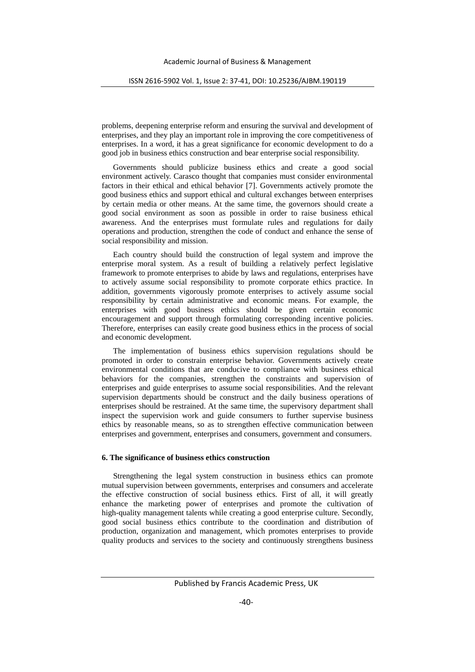problems, deepening enterprise reform and ensuring the survival and development of enterprises, and they play an important role in improving the core competitiveness of enterprises. In a word, it has a great significance for economic development to do a good job in business ethics construction and bear enterprise social responsibility.

Governments should publicize business ethics and create a good social environment actively. Carasco thought that companies must consider environmental factors in their ethical and ethical behavior [7]. Governments actively promote the good business ethics and support ethical and cultural exchanges between enterprises by certain media or other means. At the same time, the governors should create a good social environment as soon as possible in order to raise business ethical awareness. And the enterprises must formulate rules and regulations for daily operations and production, strengthen the code of conduct and enhance the sense of social responsibility and mission.

Each country should build the construction of legal system and improve the enterprise moral system. As a result of building a relatively perfect legislative framework to promote enterprises to abide by laws and regulations, enterprises have to actively assume social responsibility to promote corporate ethics practice. In addition, governments vigorously promote enterprises to actively assume social responsibility by certain administrative and economic means. For example, the enterprises with good business ethics should be given certain economic encouragement and support through formulating corresponding incentive policies. Therefore, enterprises can easily create good business ethics in the process of social and economic development.

The implementation of business ethics supervision regulations should be promoted in order to constrain enterprise behavior. Governments actively create environmental conditions that are conducive to compliance with business ethical behaviors for the companies, strengthen the constraints and supervision of enterprises and guide enterprises to assume social responsibilities. And the relevant supervision departments should be construct and the daily business operations of enterprises should be restrained. At the same time, the supervisory department shall inspect the supervision work and guide consumers to further supervise business ethics by reasonable means, so as to strengthen effective communication between enterprises and government, enterprises and consumers, government and consumers.

#### **6. The significance of business ethics construction**

Strengthening the legal system construction in business ethics can promote mutual supervision between governments, enterprises and consumers and accelerate the effective construction of social business ethics. First of all, it will greatly enhance the marketing power of enterprises and promote the cultivation of high-quality management talents while creating a good enterprise culture. Secondly, good social business ethics contribute to the coordination and distribution of production, organization and management, which promotes enterprises to provide quality products and services to the society and continuously strengthens business